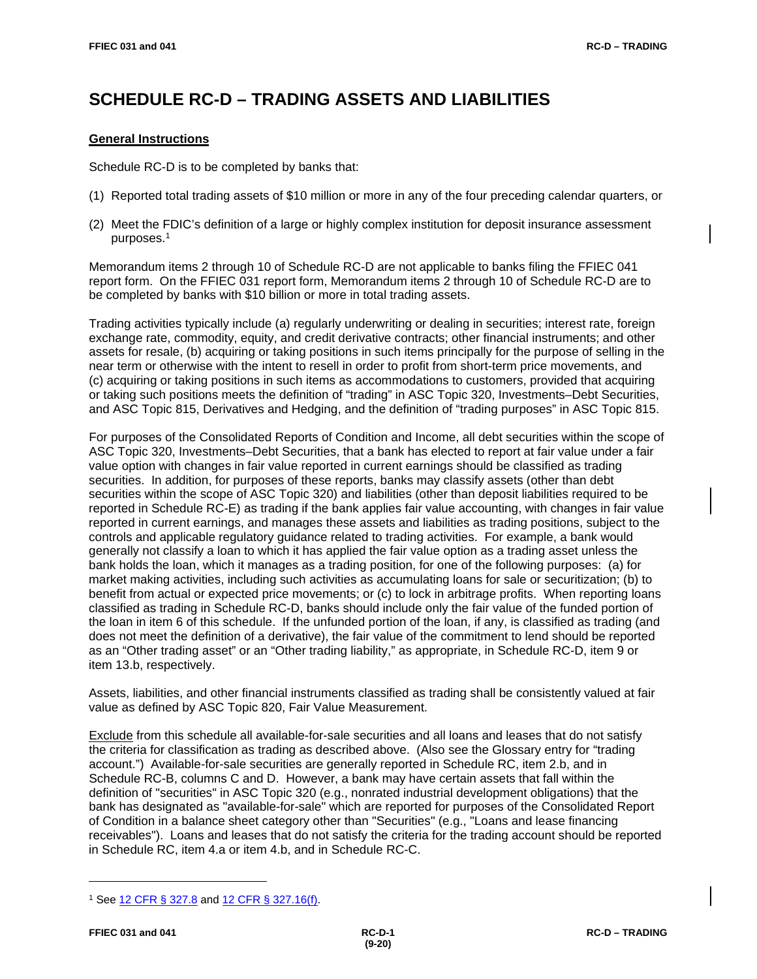# **SCHEDULE RC-D – TRADING ASSETS AND LIABILITIES**

# **General Instructions**

Schedule RC-D is to be completed by banks that:

- (1) Reported total trading assets of \$10 million or more in any of the four preceding calendar quarters, or
- (2) Meet the FDIC's definition of a large or highly complex institution for deposit insurance assessment purposes.1

Memorandum items 2 through 10 of Schedule RC-D are not applicable to banks filing the FFIEC 041 report form. On the FFIEC 031 report form, Memorandum items 2 through 10 of Schedule RC-D are to be completed by banks with \$10 billion or more in total trading assets.

Trading activities typically include (a) regularly underwriting or dealing in securities; interest rate, foreign exchange rate, commodity, equity, and credit derivative contracts; other financial instruments; and other assets for resale, (b) acquiring or taking positions in such items principally for the purpose of selling in the near term or otherwise with the intent to resell in order to profit from short-term price movements, and (c) acquiring or taking positions in such items as accommodations to customers, provided that acquiring or taking such positions meets the definition of "trading" in ASC Topic 320, Investments–Debt Securities, and ASC Topic 815, Derivatives and Hedging, and the definition of "trading purposes" in ASC Topic 815.

For purposes of the Consolidated Reports of Condition and Income, all debt securities within the scope of ASC Topic 320, Investments–Debt Securities, that a bank has elected to report at fair value under a fair value option with changes in fair value reported in current earnings should be classified as trading securities. In addition, for purposes of these reports, banks may classify assets (other than debt securities within the scope of ASC Topic 320) and liabilities (other than deposit liabilities required to be reported in Schedule RC-E) as trading if the bank applies fair value accounting, with changes in fair value reported in current earnings, and manages these assets and liabilities as trading positions, subject to the controls and applicable regulatory guidance related to trading activities. For example, a bank would generally not classify a loan to which it has applied the fair value option as a trading asset unless the bank holds the loan, which it manages as a trading position, for one of the following purposes: (a) for market making activities, including such activities as accumulating loans for sale or securitization; (b) to benefit from actual or expected price movements; or (c) to lock in arbitrage profits. When reporting loans classified as trading in Schedule RC-D, banks should include only the fair value of the funded portion of the loan in item 6 of this schedule. If the unfunded portion of the loan, if any, is classified as trading (and does not meet the definition of a derivative), the fair value of the commitment to lend should be reported as an "Other trading asset" or an "Other trading liability," as appropriate, in Schedule RC-D, item 9 or item 13.b, respectively.

Assets, liabilities, and other financial instruments classified as trading shall be consistently valued at fair value as defined by ASC Topic 820, Fair Value Measurement.

Exclude from this schedule all available-for-sale securities and all loans and leases that do not satisfy the criteria for classification as trading as described above. (Also see the Glossary entry for "trading account.") Available-for-sale securities are generally reported in Schedule RC, item 2.b, and in Schedule RC-B, columns C and D. However, a bank may have certain assets that fall within the definition of "securities" in ASC Topic 320 (e.g., nonrated industrial development obligations) that the bank has designated as "available-for-sale" which are reported for purposes of the Consolidated Report of Condition in a balance sheet category other than "Securities" (e.g., "Loans and lease financing receivables"). Loans and leases that do not satisfy the criteria for the trading account should be reported in Schedule RC, item 4.a or item 4.b, and in Schedule RC-C.

<sup>1</sup> See [12 CFR § 327.8](https://www.ecfr.gov/cgi-bin/text-idx?SID=d761cf0a9e8d24d6a6d06c242f4b6857&mc=true&node=pt12.5.327&rgn=div5#se12.5.327_18) and [12 CFR § 327.16\(f\).](https://www.ecfr.gov/cgi-bin/text-idx?SID=d761cf0a9e8d24d6a6d06c242f4b6857&mc=true&node=pt12.5.327&rgn=div5#se12.5.327_116)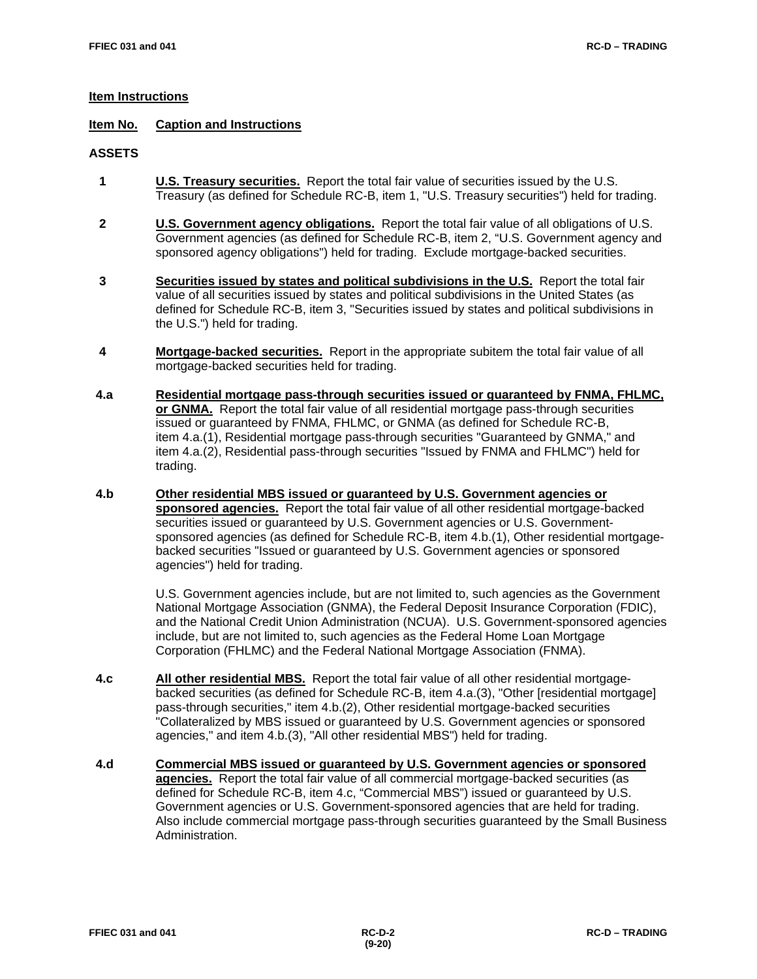# **Item Instructions**

## **Item No. Caption and Instructions**

## **ASSETS**

- **1 U.S. Treasury securities.** Report the total fair value of securities issued by the U.S. Treasury (as defined for Schedule RC-B, item 1, "U.S. Treasury securities") held for trading.
- **2 U.S. Government agency obligations.** Report the total fair value of all obligations of U.S. Government agencies (as defined for Schedule RC-B, item 2, "U.S. Government agency and sponsored agency obligations") held for trading. Exclude mortgage-backed securities.
- **3 Securities issued by states and political subdivisions in the U.S.** Report the total fair value of all securities issued by states and political subdivisions in the United States (as defined for Schedule RC-B, item 3, "Securities issued by states and political subdivisions in the U.S.") held for trading.
- **4 Mortgage-backed securities.** Report in the appropriate subitem the total fair value of all mortgage-backed securities held for trading.
- **4.a Residential mortgage pass-through securities issued or guaranteed by FNMA, FHLMC, or GNMA.** Report the total fair value of all residential mortgage pass-through securities issued or guaranteed by FNMA, FHLMC, or GNMA (as defined for Schedule RC-B, item 4.a.(1), Residential mortgage pass-through securities "Guaranteed by GNMA," and item 4.a.(2), Residential pass-through securities "Issued by FNMA and FHLMC") held for trading.
- **4.b Other residential MBS issued or guaranteed by U.S. Government agencies or sponsored agencies.** Report the total fair value of all other residential mortgage-backed securities issued or guaranteed by U.S. Government agencies or U.S. Governmentsponsored agencies (as defined for Schedule RC-B, item 4.b.(1), Other residential mortgagebacked securities "Issued or guaranteed by U.S. Government agencies or sponsored agencies") held for trading.

U.S. Government agencies include, but are not limited to, such agencies as the Government National Mortgage Association (GNMA), the Federal Deposit Insurance Corporation (FDIC), and the National Credit Union Administration (NCUA). U.S. Government-sponsored agencies include, but are not limited to, such agencies as the Federal Home Loan Mortgage Corporation (FHLMC) and the Federal National Mortgage Association (FNMA).

- **4.c All other residential MBS.** Report the total fair value of all other residential mortgagebacked securities (as defined for Schedule RC-B, item 4.a.(3), "Other [residential mortgage] pass-through securities," item 4.b.(2), Other residential mortgage-backed securities "Collateralized by MBS issued or guaranteed by U.S. Government agencies or sponsored agencies," and item 4.b.(3), "All other residential MBS") held for trading.
- **4.d Commercial MBS issued or guaranteed by U.S. Government agencies or sponsored agencies.** Report the total fair value of all commercial mortgage-backed securities (as defined for Schedule RC-B, item 4.c, "Commercial MBS") issued or guaranteed by U.S. Government agencies or U.S. Government-sponsored agencies that are held for trading. Also include commercial mortgage pass-through securities guaranteed by the Small Business Administration.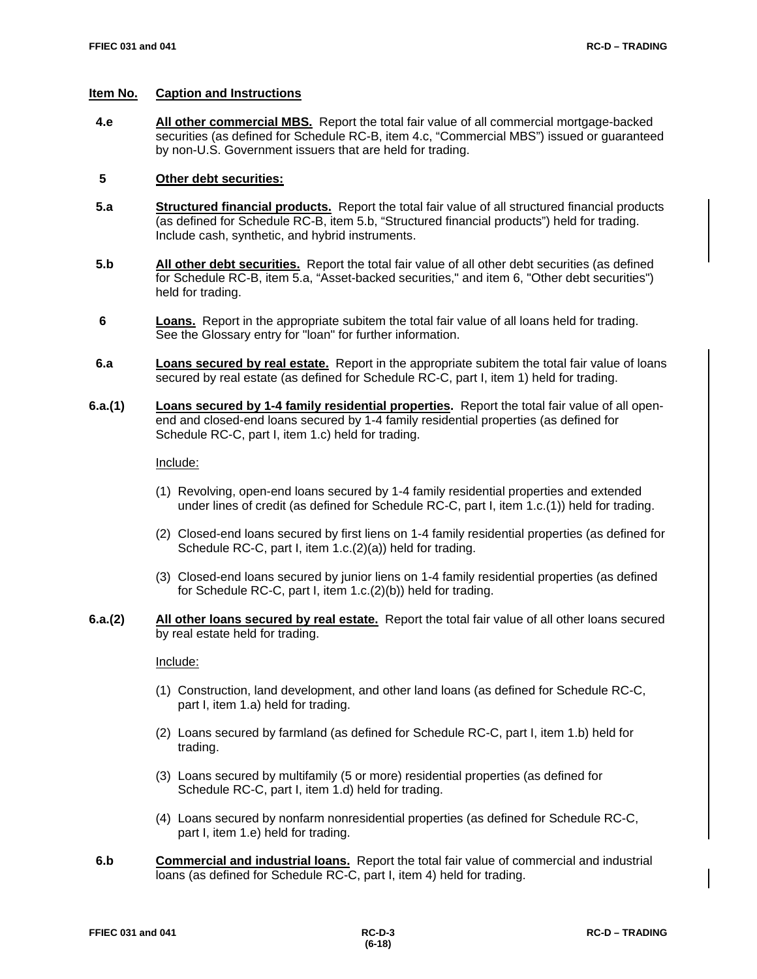## **Item No. Caption and Instructions**

 **4.e All other commercial MBS.** Report the total fair value of all commercial mortgage-backed securities (as defined for Schedule RC-B, item 4.c, "Commercial MBS") issued or guaranteed by non-U.S. Government issuers that are held for trading.

## **5 Other debt securities:**

- **5.a Structured financial products.** Report the total fair value of all structured financial products (as defined for Schedule RC-B, item 5.b, "Structured financial products") held for trading. Include cash, synthetic, and hybrid instruments.
- **5.b All other debt securities.** Report the total fair value of all other debt securities (as defined for Schedule RC-B, item 5.a, "Asset-backed securities," and item 6, "Other debt securities") held for trading.
- **6 Loans.** Report in the appropriate subitem the total fair value of all loans held for trading. See the Glossary entry for "loan" for further information.
- **6.a Loans secured by real estate.** Report in the appropriate subitem the total fair value of loans secured by real estate (as defined for Schedule RC-C, part I, item 1) held for trading.
- **6.a.(1) Loans secured by 1-4 family residential properties.** Report the total fair value of all openend and closed-end loans secured by 1-4 family residential properties (as defined for Schedule RC-C, part I, item 1.c) held for trading.

Include:

- (1) Revolving, open-end loans secured by 1-4 family residential properties and extended under lines of credit (as defined for Schedule RC-C, part I, item 1.c.(1)) held for trading.
- (2) Closed-end loans secured by first liens on 1-4 family residential properties (as defined for Schedule RC-C, part I, item 1.c.(2)(a)) held for trading.
- (3) Closed-end loans secured by junior liens on 1-4 family residential properties (as defined for Schedule RC-C, part I, item 1.c.(2)(b)) held for trading.
- **6.a.(2) All other loans secured by real estate.** Report the total fair value of all other loans secured by real estate held for trading.

Include:

- (1) Construction, land development, and other land loans (as defined for Schedule RC-C, part I, item 1.a) held for trading.
- (2) Loans secured by farmland (as defined for Schedule RC-C, part I, item 1.b) held for trading.
- (3) Loans secured by multifamily (5 or more) residential properties (as defined for Schedule RC-C, part I, item 1.d) held for trading.
- (4) Loans secured by nonfarm nonresidential properties (as defined for Schedule RC-C, part I, item 1.e) held for trading.
- **6.b Commercial and industrial loans.** Report the total fair value of commercial and industrial loans (as defined for Schedule RC-C, part I, item 4) held for trading.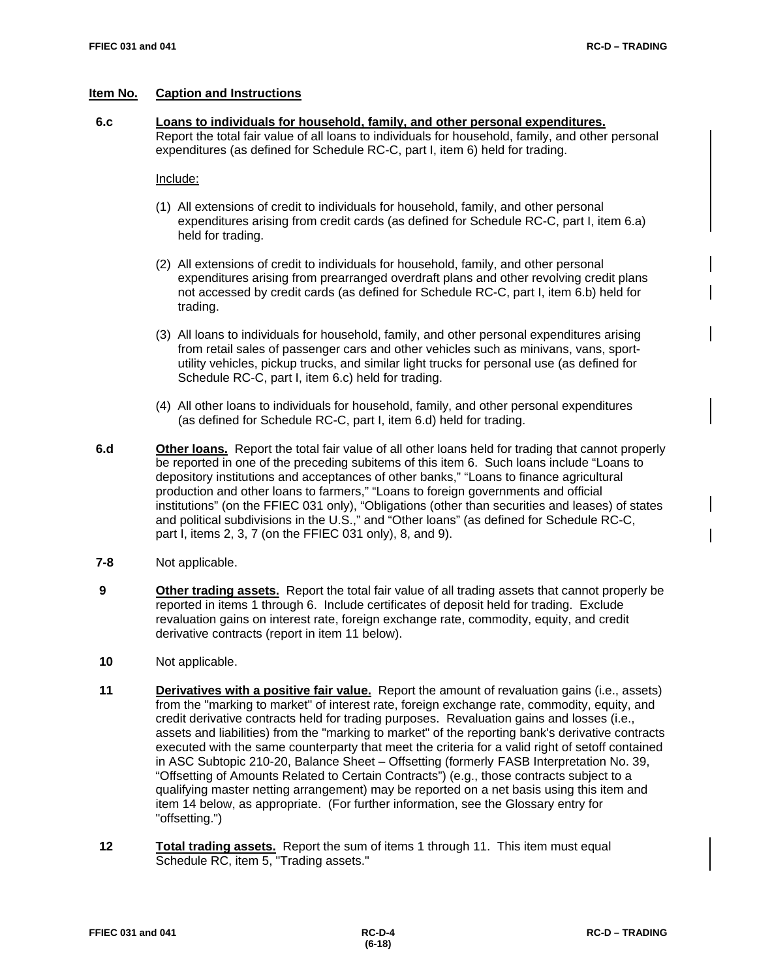## **Item No. Caption and Instructions**

 **6.c Loans to individuals for household, family, and other personal expenditures.** Report the total fair value of all loans to individuals for household, family, and other personal expenditures (as defined for Schedule RC-C, part I, item 6) held for trading.

## Include:

- (1)All extensions of credit to individuals for household, family, and other personal expenditures arising from credit cards (as defined for Schedule RC-C, part I, item 6.a) held for trading.
- (2)All extensions of credit to individuals for household, family, and other personal expenditures arising from prearranged overdraft plans and other revolving credit plans not accessed by credit cards (as defined for Schedule RC-C, part I, item 6.b) held for trading.
- (3)All loans to individuals for household, family, and other personal expenditures arising from retail sales of passenger cars and other vehicles such as minivans, vans, sportutility vehicles, pickup trucks, and similar light trucks for personal use (as defined for Schedule RC-C, part I, item 6.c) held for trading.
- (4)All other loans to individuals for household, family, and other personal expenditures (as defined for Schedule RC-C, part I, item 6.d) held for trading.
- **6.d Other loans.** Report the total fair value of all other loans held for trading that cannot properly be reported in one of the preceding subitems of this item 6. Such loans include "Loans to depository institutions and acceptances of other banks," "Loans to finance agricultural production and other loans to farmers," "Loans to foreign governments and official institutions" (on the FFIEC 031 only), "Obligations (other than securities and leases) of states and political subdivisions in the U.S.," and "Other loans" (as defined for Schedule RC-C, part I, items 2, 3, 7 (on the FFIEC 031 only), 8, and 9).
- **7-8** Not applicable.
- **9 Other trading assets.** Report the total fair value of all trading assets that cannot properly be reported in items 1 through 6. Include certificates of deposit held for trading. Exclude revaluation gains on interest rate, foreign exchange rate, commodity, equity, and credit derivative contracts (report in item 11 below).
- **10** Not applicable.
- **11 Derivatives with a positive fair value.** Report the amount of revaluation gains (i.e., assets) from the "marking to market" of interest rate, foreign exchange rate, commodity, equity, and credit derivative contracts held for trading purposes. Revaluation gains and losses (i.e., assets and liabilities) from the "marking to market" of the reporting bank's derivative contracts executed with the same counterparty that meet the criteria for a valid right of setoff contained in ASC Subtopic 210-20, Balance Sheet – Offsetting (formerly FASB Interpretation No. 39, "Offsetting of Amounts Related to Certain Contracts") (e.g., those contracts subject to a qualifying master netting arrangement) may be reported on a net basis using this item and item 14 below, as appropriate. (For further information, see the Glossary entry for "offsetting.")
- **12 Total trading assets.** Report the sum of items 1 through 11. This item must equal Schedule RC, item 5, "Trading assets."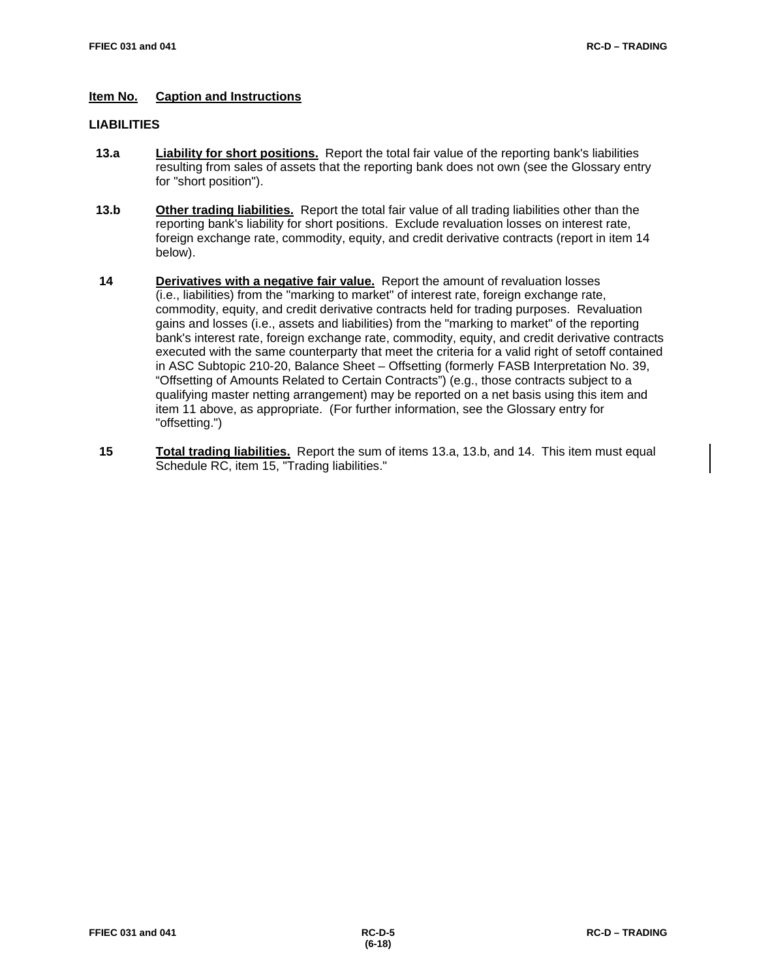# **Item No. Caption and Instructions**

# **LIABILITIES**

- **13.a Liability for short positions.** Report the total fair value of the reporting bank's liabilities resulting from sales of assets that the reporting bank does not own (see the Glossary entry for "short position").
- **13.b Other trading liabilities.** Report the total fair value of all trading liabilities other than the reporting bank's liability for short positions. Exclude revaluation losses on interest rate, foreign exchange rate, commodity, equity, and credit derivative contracts (report in item 14 below).
- **14 Derivatives with a negative fair value.** Report the amount of revaluation losses (i.e., liabilities) from the "marking to market" of interest rate, foreign exchange rate, commodity, equity, and credit derivative contracts held for trading purposes. Revaluation gains and losses (i.e., assets and liabilities) from the "marking to market" of the reporting bank's interest rate, foreign exchange rate, commodity, equity, and credit derivative contracts executed with the same counterparty that meet the criteria for a valid right of setoff contained in ASC Subtopic 210-20, Balance Sheet – Offsetting (formerly FASB Interpretation No. 39, "Offsetting of Amounts Related to Certain Contracts") (e.g., those contracts subject to a qualifying master netting arrangement) may be reported on a net basis using this item and item 11 above, as appropriate. (For further information, see the Glossary entry for "offsetting.")
- **15** Total trading liabilities. Report the sum of items 13.a, 13.b, and 14. This item must equal Schedule RC, item 15, "Trading liabilities."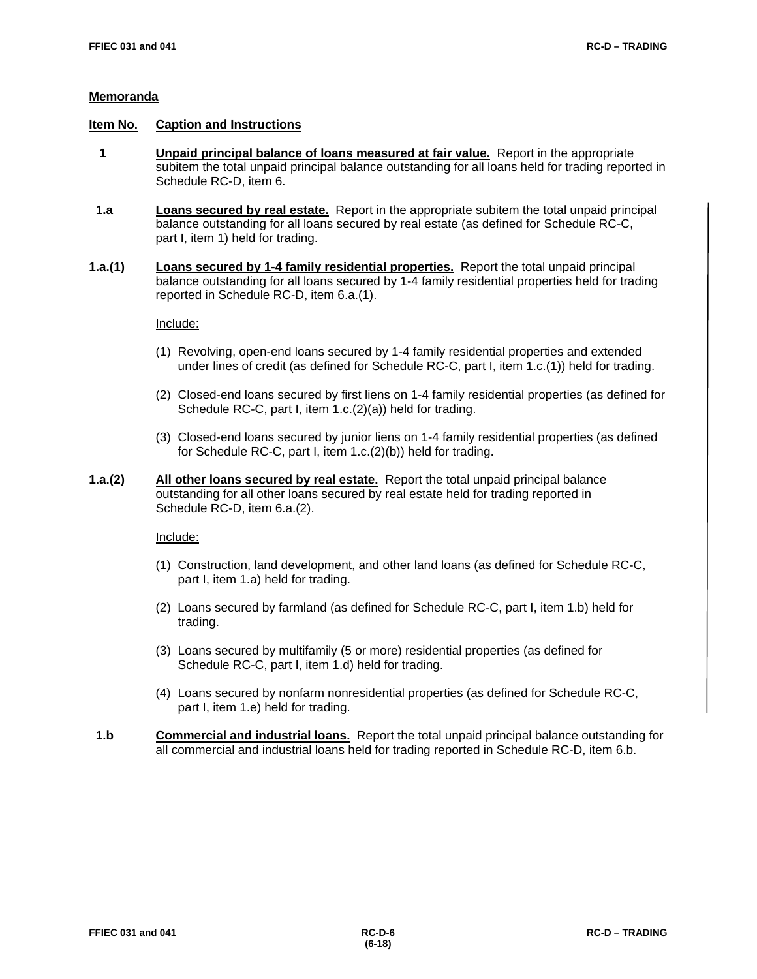## **Item No. Caption and Instructions**

- **1 Unpaid principal balance of loans measured at fair value.** Report in the appropriate subitem the total unpaid principal balance outstanding for all loans held for trading reported in Schedule RC-D, item 6.
- **1.a Loans secured by real estate.** Report in the appropriate subitem the total unpaid principal balance outstanding for all loans secured by real estate (as defined for Schedule RC-C, part I, item 1) held for trading.
- **1.a.(1) Loans secured by 1-4 family residential properties.** Report the total unpaid principal balance outstanding for all loans secured by 1-4 family residential properties held for trading reported in Schedule RC-D, item 6.a.(1).

#### Include:

- (1) Revolving, open-end loans secured by 1-4 family residential properties and extended under lines of credit (as defined for Schedule RC-C, part I, item 1.c.(1)) held for trading.
- (2) Closed-end loans secured by first liens on 1-4 family residential properties (as defined for Schedule RC-C, part I, item 1.c.(2)(a)) held for trading.
- (3) Closed-end loans secured by junior liens on 1-4 family residential properties (as defined for Schedule RC-C, part I, item 1.c.(2)(b)) held for trading.
- **1.a.(2) All other loans secured by real estate.** Report the total unpaid principal balance outstanding for all other loans secured by real estate held for trading reported in Schedule RC-D, item 6.a.(2).

## Include:

- (1) Construction, land development, and other land loans (as defined for Schedule RC-C, part I, item 1.a) held for trading.
- (2) Loans secured by farmland (as defined for Schedule RC-C, part I, item 1.b) held for trading.
- (3) Loans secured by multifamily (5 or more) residential properties (as defined for Schedule RC-C, part I, item 1.d) held for trading.
- (4) Loans secured by nonfarm nonresidential properties (as defined for Schedule RC-C, part I, item 1.e) held for trading.
- **1.b Commercial and industrial loans.** Report the total unpaid principal balance outstanding for all commercial and industrial loans held for trading reported in Schedule RC-D, item 6.b.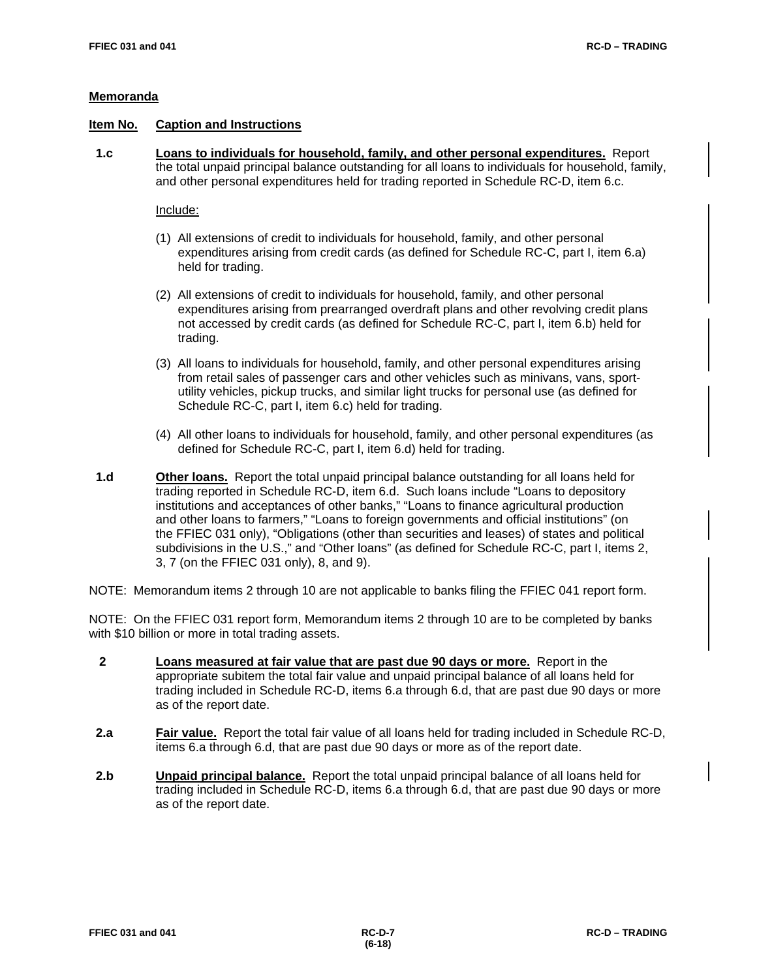#### **Item No. Caption and Instructions**

 **1.c Loans to individuals for household, family, and other personal expenditures.** Report the total unpaid principal balance outstanding for all loans to individuals for household, family, and other personal expenditures held for trading reported in Schedule RC-D, item 6.c.

Include:

- (1) All extensions of credit to individuals for household, family, and other personal expenditures arising from credit cards (as defined for Schedule RC-C, part I, item 6.a) held for trading.
- (2)All extensions of credit to individuals for household, family, and other personal expenditures arising from prearranged overdraft plans and other revolving credit plans not accessed by credit cards (as defined for Schedule RC-C, part I, item 6.b) held for trading.
- (3)All loans to individuals for household, family, and other personal expenditures arising from retail sales of passenger cars and other vehicles such as minivans, vans, sportutility vehicles, pickup trucks, and similar light trucks for personal use (as defined for Schedule RC-C, part I, item 6.c) held for trading.
- (4)All other loans to individuals for household, family, and other personal expenditures (as defined for Schedule RC-C, part I, item 6.d) held for trading.
- **1.d Other loans.** Report the total unpaid principal balance outstanding for all loans held for trading reported in Schedule RC-D, item 6.d. Such loans include "Loans to depository institutions and acceptances of other banks," "Loans to finance agricultural production and other loans to farmers," "Loans to foreign governments and official institutions" (on the FFIEC 031 only), "Obligations (other than securities and leases) of states and political subdivisions in the U.S.," and "Other loans" (as defined for Schedule RC-C, part I, items 2, 3, 7 (on the FFIEC 031 only), 8, and 9).
- NOTE: Memorandum items 2 through 10 are not applicable to banks filing the FFIEC 041 report form.

NOTE: On the FFIEC 031 report form, Memorandum items 2 through 10 are to be completed by banks with \$10 billion or more in total trading assets.

- **2 Loans measured at fair value that are past due 90 days or more.** Report in the appropriate subitem the total fair value and unpaid principal balance of all loans held for trading included in Schedule RC-D, items 6.a through 6.d, that are past due 90 days or more as of the report date.
- **2.a Fair value.** Report the total fair value of all loans held for trading included in Schedule RC-D, items 6.a through 6.d, that are past due 90 days or more as of the report date.
- **2.b Unpaid principal balance.** Report the total unpaid principal balance of all loans held for trading included in Schedule RC-D, items 6.a through 6.d, that are past due 90 days or more as of the report date.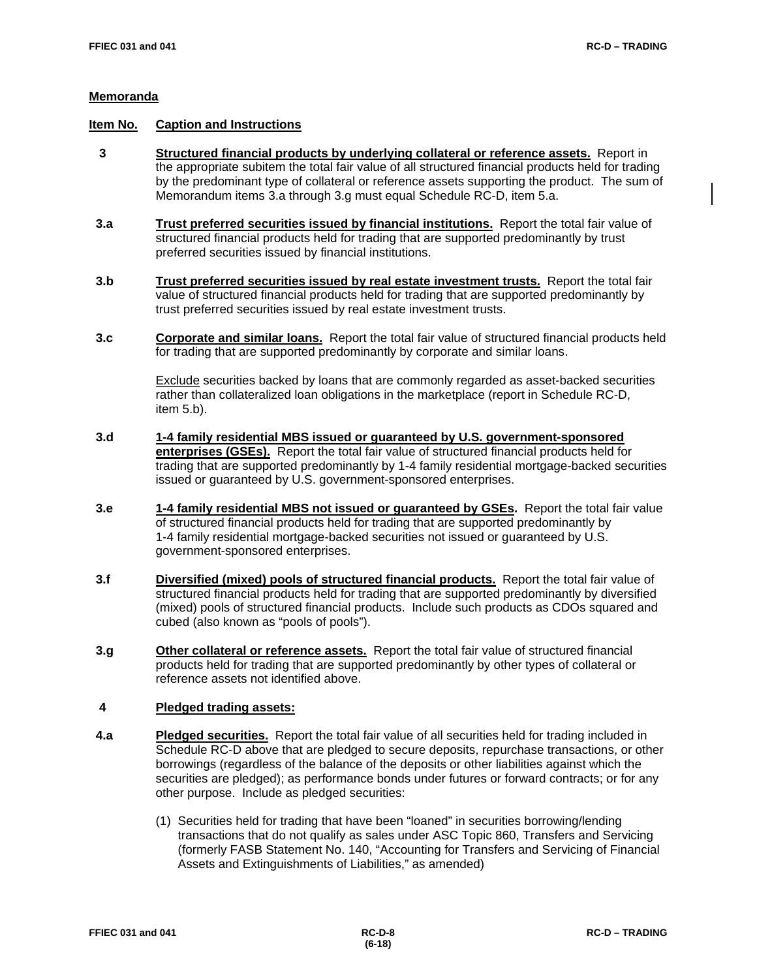## **Item No. Caption and Instructions**

- **3 Structured financial products by underlying collateral or reference assets.** Report in the appropriate subitem the total fair value of all structured financial products held for trading by the predominant type of collateral or reference assets supporting the product. The sum of Memorandum items 3.a through 3.g must equal Schedule RC-D, item 5.a.
- **3.a Trust preferred securities issued by financial institutions.** Report the total fair value of structured financial products held for trading that are supported predominantly by trust preferred securities issued by financial institutions.
- **3.b Trust preferred securities issued by real estate investment trusts.** Report the total fair value of structured financial products held for trading that are supported predominantly by trust preferred securities issued by real estate investment trusts.
- **3.c Corporate and similar loans.** Report the total fair value of structured financial products held for trading that are supported predominantly by corporate and similar loans.

Exclude securities backed by loans that are commonly regarded as asset-backed securities rather than collateralized loan obligations in the marketplace (report in Schedule RC-D, item 5.b).

- **3.d 1-4 family residential MBS issued or guaranteed by U.S. government-sponsored enterprises (GSEs).** Report the total fair value of structured financial products held for trading that are supported predominantly by 1-4 family residential mortgage-backed securities issued or guaranteed by U.S. government-sponsored enterprises.
- **3.e 1-4 family residential MBS not issued or guaranteed by GSEs.** Report the total fair value of structured financial products held for trading that are supported predominantly by 1-4 family residential mortgage-backed securities not issued or guaranteed by U.S. government-sponsored enterprises.
- **3.f Diversified (mixed) pools of structured financial products.** Report the total fair value of structured financial products held for trading that are supported predominantly by diversified (mixed) pools of structured financial products. Include such products as CDOs squared and cubed (also known as "pools of pools").
- **3.g Other collateral or reference assets.** Report the total fair value of structured financial products held for trading that are supported predominantly by other types of collateral or reference assets not identified above.

# **4 Pledged trading assets:**

- **4.a Pledged securities.** Report the total fair value of all securities held for trading included in Schedule RC-D above that are pledged to secure deposits, repurchase transactions, or other borrowings (regardless of the balance of the deposits or other liabilities against which the securities are pledged); as performance bonds under futures or forward contracts; or for any other purpose. Include as pledged securities:
	- (1) Securities held for trading that have been "loaned" in securities borrowing/lending transactions that do not qualify as sales under ASC Topic 860, Transfers and Servicing (formerly FASB Statement No. 140, "Accounting for Transfers and Servicing of Financial Assets and Extinguishments of Liabilities," as amended)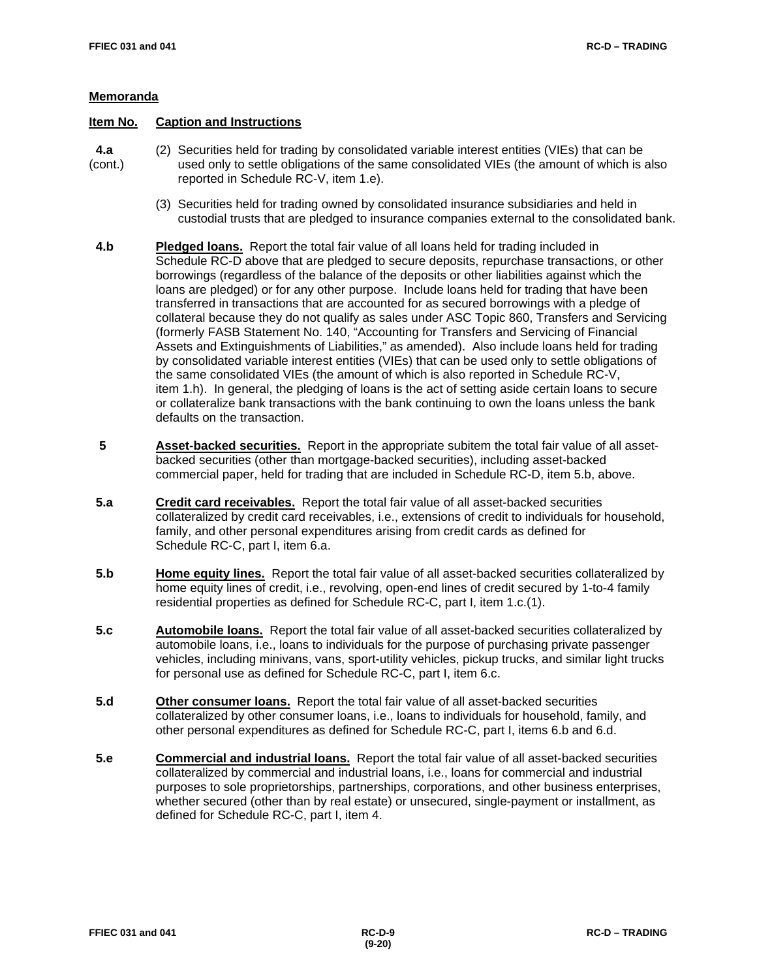# **Item No. Caption and Instructions**

- **4.a** (2) Securities held for trading by consolidated variable interest entities (VIEs) that can be (cont.) used only to settle obligations of the same consolidated VIEs (the amount of which is a used only to settle obligations of the same consolidated VIEs (the amount of which is also reported in Schedule RC-V, item 1.e).
	- (3) Securities held for trading owned by consolidated insurance subsidiaries and held in custodial trusts that are pledged to insurance companies external to the consolidated bank.
- **4.b Pledged loans.** Report the total fair value of all loans held for trading included in Schedule RC-D above that are pledged to secure deposits, repurchase transactions, or other borrowings (regardless of the balance of the deposits or other liabilities against which the loans are pledged) or for any other purpose. Include loans held for trading that have been transferred in transactions that are accounted for as secured borrowings with a pledge of collateral because they do not qualify as sales under ASC Topic 860, Transfers and Servicing (formerly FASB Statement No. 140, "Accounting for Transfers and Servicing of Financial Assets and Extinguishments of Liabilities," as amended). Also include loans held for trading by consolidated variable interest entities (VIEs) that can be used only to settle obligations of the same consolidated VIEs (the amount of which is also reported in Schedule RC-V, item 1.h). In general, the pledging of loans is the act of setting aside certain loans to secure or collateralize bank transactions with the bank continuing to own the loans unless the bank defaults on the transaction.
- **5 Asset-backed securities.** Report in the appropriate subitem the total fair value of all assetbacked securities (other than mortgage-backed securities), including asset-backed commercial paper, held for trading that are included in Schedule RC-D, item 5.b, above.
- **5.a Credit card receivables.** Report the total fair value of all asset-backed securities collateralized by credit card receivables, i.e., extensions of credit to individuals for household, family, and other personal expenditures arising from credit cards as defined for Schedule RC-C, part I, item 6.a.
- **5.b Home equity lines.** Report the total fair value of all asset-backed securities collateralized by home equity lines of credit, i.e., revolving, open-end lines of credit secured by 1-to-4 family residential properties as defined for Schedule RC-C, part I, item 1.c.(1).
- **5.c Automobile loans.** Report the total fair value of all asset-backed securities collateralized by automobile loans, i.e., loans to individuals for the purpose of purchasing private passenger vehicles, including minivans, vans, sport-utility vehicles, pickup trucks, and similar light trucks for personal use as defined for Schedule RC-C, part I, item 6.c.
- **5.d** Other consumer loans. Report the total fair value of all asset-backed securities collateralized by other consumer loans, i.e., loans to individuals for household, family, and other personal expenditures as defined for Schedule RC-C, part I, items 6.b and 6.d.
- **5.e Commercial and industrial loans.** Report the total fair value of all asset-backed securities collateralized by commercial and industrial loans, i.e., loans for commercial and industrial purposes to sole proprietorships, partnerships, corporations, and other business enterprises, whether secured (other than by real estate) or unsecured, single-payment or installment, as defined for Schedule RC-C, part I, item 4.